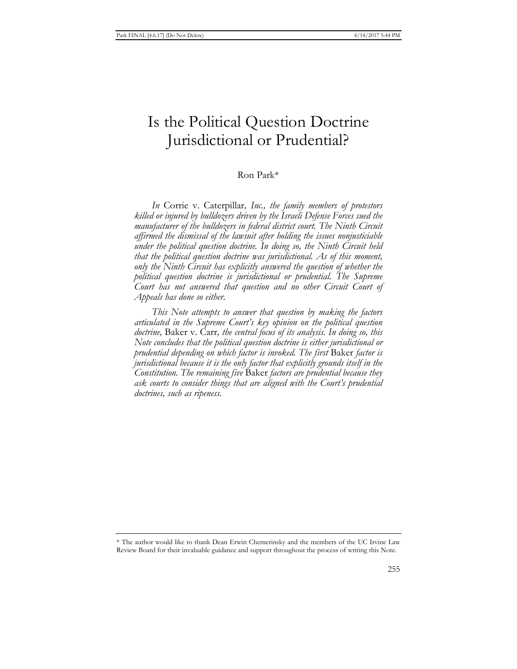# Is the Political Question Doctrine Jurisdictional or Prudential?

## Ron Park\*

*In* Corrie v. Caterpillar*, Inc., the family members of protestors killed or injured by bulldozers driven by the Israeli Defense Forces sued the manufacturer of the bulldozers in federal district court. The Ninth Circuit affirmed the dismissal of the lawsuit after holding the issues nonjusticiable under the political question doctrine. In doing so, the Ninth Circuit held that the political question doctrine was jurisdictional. As of this moment, only the Ninth Circuit has explicitly answered the question of whether the political question doctrine is jurisdictional or prudential. The Supreme Court has not answered that question and no other Circuit Court of Appeals has done so either.* 

*This Note attempts to answer that question by making the factors articulated in the Supreme Court's key opinion on the political question doctrine,* Baker v. Carr*, the central focus of its analysis. In doing so, this Note concludes that the political question doctrine is either jurisdictional or prudential depending on which factor is invoked. The first* Baker *factor is jurisdictional because it is the only factor that explicitly grounds itself in the Constitution. The remaining five* Baker *factors are prudential because they ask courts to consider things that are aligned with the Court's prudential doctrines, such as ripeness.* 

<sup>\*</sup> The author would like to thank Dean Erwin Chemerinsky and the members of the UC Irvine Law Review Board for their invaluable guidance and support throughout the process of writing this Note.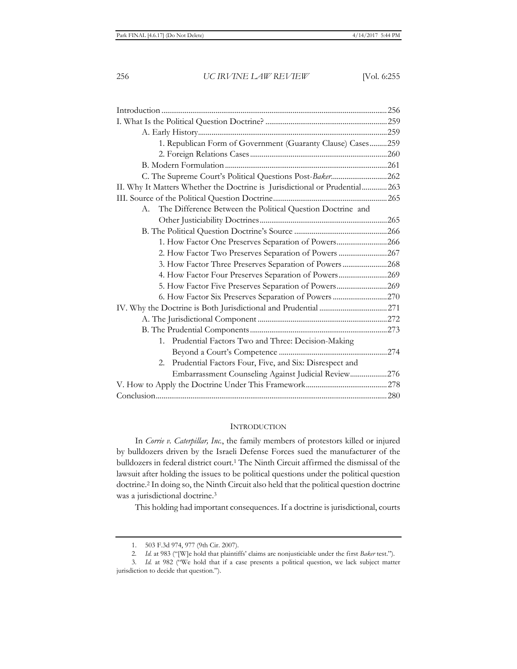| 1. Republican Form of Government (Guaranty Clause) Cases259                 |  |
|-----------------------------------------------------------------------------|--|
|                                                                             |  |
|                                                                             |  |
|                                                                             |  |
| II. Why It Matters Whether the Doctrine is Jurisdictional or Prudential 263 |  |
|                                                                             |  |
| A. The Difference Between the Political Question Doctrine and               |  |
|                                                                             |  |
|                                                                             |  |
| 1. How Factor One Preserves Separation of Powers266                         |  |
| 2. How Factor Two Preserves Separation of Powers 267                        |  |
| 3. How Factor Three Preserves Separation of Powers268                       |  |
| 4. How Factor Four Preserves Separation of Powers269                        |  |
| 5. How Factor Five Preserves Separation of Powers269                        |  |
| 6. How Factor Six Preserves Separation of Powers  270                       |  |
|                                                                             |  |
|                                                                             |  |
|                                                                             |  |
| 1. Prudential Factors Two and Three: Decision-Making                        |  |
|                                                                             |  |
| Prudential Factors Four, Five, and Six: Disrespect and<br>2.                |  |
| Embarrassment Counseling Against Judicial Review276                         |  |
|                                                                             |  |
|                                                                             |  |

## **INTRODUCTION**

In *Corrie v. Caterpillar, Inc.*, the family members of protestors killed or injured by bulldozers driven by the Israeli Defense Forces sued the manufacturer of the bulldozers in federal district court.1 The Ninth Circuit affirmed the dismissal of the lawsuit after holding the issues to be political questions under the political question doctrine.2 In doing so, the Ninth Circuit also held that the political question doctrine was a jurisdictional doctrine.<sup>3</sup>

This holding had important consequences. If a doctrine is jurisdictional, courts

<sup>1. 503</sup> F.3d 974, 977 (9th Cir. 2007).

<sup>2</sup>*. Id.* at 983 ("[W]e hold that plaintiffs' claims are nonjusticiable under the first *Baker* test.").

<sup>3</sup>*. Id.* at 982 ("We hold that if a case presents a political question, we lack subject matter jurisdiction to decide that question.").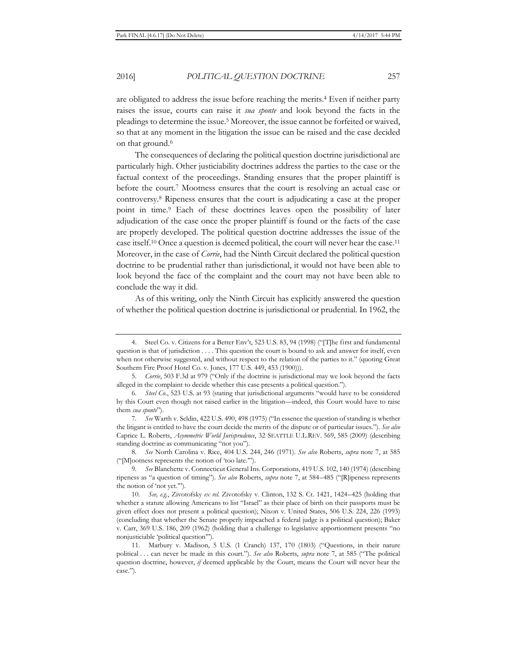are obligated to address the issue before reaching the merits.<sup>4</sup> Even if neither party raises the issue, courts can raise it *sua sponte* and look beyond the facts in the pleadings to determine the issue.5 Moreover, the issue cannot be forfeited or waived, so that at any moment in the litigation the issue can be raised and the case decided on that ground.<sup>6</sup>

The consequences of declaring the political question doctrine jurisdictional are particularly high. Other justiciability doctrines address the parties to the case or the factual context of the proceedings. Standing ensures that the proper plaintiff is before the court.7 Mootness ensures that the court is resolving an actual case or controversy.8 Ripeness ensures that the court is adjudicating a case at the proper point in time.9 Each of these doctrines leaves open the possibility of later adjudication of the case once the proper plaintiff is found or the facts of the case are properly developed. The political question doctrine addresses the issue of the case itself.10 Once a question is deemed political, the court will never hear the case.11 Moreover, in the case of *Corrie*, had the Ninth Circuit declared the political question doctrine to be prudential rather than jurisdictional, it would not have been able to look beyond the face of the complaint and the court may not have been able to conclude the way it did.

As of this writing, only the Ninth Circuit has explicitly answered the question of whether the political question doctrine is jurisdictional or prudential. In 1962, the

8*. See* North Carolina v. Rice, 404 U.S. 244, 246 (1971). *See also* Roberts, *supra* note 7, at 585 ("[M]ootness represents the notion of 'too late.'").

9*. See* Blanchette v. Connecticut General Ins. Corporations, 419 U.S. 102, 140 (1974) (describing ripeness as "a question of timing"). *See also* Roberts, *supra* note 7, at 584–485 ("[R]ipeness represents the notion of 'not yet.'").

10*. See, e.g.*, Zivotofsky *ex rel.* Zivotofsky v. Clinton, 132 S. Ct. 1421, 1424–425 (holding that whether a statute allowing Americans to list "Israel" as their place of birth on their passports must be given effect does not present a political question); Nixon v. United States, 506 U.S. 224, 226 (1993) (concluding that whether the Senate properly impeached a federal judge is a political question); Baker v. Carr, 369 U.S. 186, 209 (1962) (holding that a challenge to legislative apportionment presents "no nonjusticiable 'political question'").

<sup>4.</sup> Steel Co. v. Citizens for a Better Env't, 523 U.S. 83, 94 (1998) ("[T]he first and fundamental question is that of jurisdiction . . . . This question the court is bound to ask and answer for itself, even when not otherwise suggested, and without respect to the relation of the parties to it." (quoting Great Southern Fire Proof Hotel Co. v. Jones, 177 U.S. 449, 453 (1900))).

<sup>5</sup>*. Corrie*, 503 F.3d at 979 ("Only if the doctrine is jurisdictional may we look beyond the facts alleged in the complaint to decide whether this case presents a political question.").

<sup>6</sup>*. Steel Co.*, 523 U.S. at 93 (stating that jurisdictional arguments "would have to be considered by this Court even though not raised earlier in the litigation—indeed, this Court would have to raise them *sua sponte*").

<sup>7</sup>*. See* Warth v. Seldin, 422 U.S. 490, 498 (1975) ("In essence the question of standing is whether the litigant is entitled to have the court decide the merits of the dispute or of particular issues."). *See also* Caprice L. Roberts, *Asymmetric World Jurisprudence*, 32 SEATTLE U.L.REV. 569, 585 (2009) (describing standing doctrine as communicating "not you").

<sup>11.</sup> Marbury v. Madison, 5 U.S. (1 Cranch) 137, 170 (1803) ("Questions, in their nature political . . . can never be made in this court."). *See also* Roberts, *supra* note 7, at 585 ("The political question doctrine, however, *if* deemed applicable by the Court, means the Court will never hear the case.").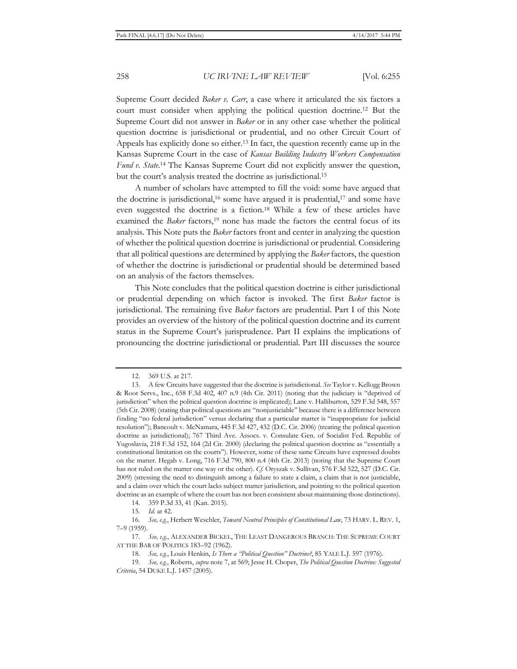Supreme Court decided *Baker v. Carr*, a case where it articulated the six factors a court must consider when applying the political question doctrine.12 But the Supreme Court did not answer in *Baker* or in any other case whether the political question doctrine is jurisdictional or prudential, and no other Circuit Court of Appeals has explicitly done so either.13 In fact, the question recently came up in the Kansas Supreme Court in the case of *Kansas Building Industry Workers Compensation*  Fund v. State.<sup>14</sup> The Kansas Supreme Court did not explicitly answer the question, but the court's analysis treated the doctrine as jurisdictional.15

A number of scholars have attempted to fill the void: some have argued that the doctrine is jurisdictional,<sup>16</sup> some have argued it is prudential,<sup>17</sup> and some have even suggested the doctrine is a fiction.18 While a few of these articles have examined the *Baker* factors,<sup>19</sup> none has made the factors the central focus of its analysis. This Note puts the *Baker* factors front and center in analyzing the question of whether the political question doctrine is jurisdictional or prudential. Considering that all political questions are determined by applying the *Baker* factors, the question of whether the doctrine is jurisdictional or prudential should be determined based on an analysis of the factors themselves.

This Note concludes that the political question doctrine is either jurisdictional or prudential depending on which factor is invoked. The first *Baker* factor is jurisdictional. The remaining five *Baker* factors are prudential. Part I of this Note provides an overview of the history of the political question doctrine and its current status in the Supreme Court's jurisprudence. Part II explains the implications of pronouncing the doctrine jurisdictional or prudential. Part III discusses the source

<sup>12. 369</sup> U.S. at 217.

<sup>13.</sup> A few Circuits have suggested that the doctrine is jurisdictional. *See* Taylor v. Kellogg Brown & Root Servs., Inc., 658 F.3d 402, 407 n.9 (4th Cir. 2011) (noting that the judiciary is "deprived of jurisdiction" when the political question doctrine is implicated); Lane v. Halliburton, 529 F.3d 548, 557 (5th Cir. 2008) (stating that political questions are "nonjusticiable" because there is a difference between finding "no federal jurisdiction" versus declaring that a particular matter is "inappropriate for judicial resolution"); Bancoult v. McNamara, 445 F.3d 427, 432 (D.C. Cir. 2006) (treating the political question doctrine as jurisdictional); 767 Third Ave. Assocs. v. Consulate Gen. of Socialist Fed. Republic of Yugoslavia, 218 F.3d 152, 164 (2d Cir. 2000) (declaring the political question doctrine as "essentially a constitutional limitation on the courts"). However, some of these same Circuits have expressed doubts on the matter. Hegab v. Long, 716 F.3d 790, 800 n.4 (4th Cir. 2013) (noting that the Supreme Court has not ruled on the matter one way or the other). *Cf.* Oryszak v. Sullivan, 576 F.3d 522, 527 (D.C. Cir. 2009) (stressing the need to distinguish among a failure to state a claim, a claim that is not justiciable, and a claim over which the court lacks subject matter jurisdiction, and pointing to the political question doctrine as an example of where the court has not been consistent about maintaining those distinctions).

<sup>14. 359</sup> P.3d 33, 41 (Kan. 2015).

<sup>15</sup>*. Id.* at 42.

<sup>16</sup>*. See, e.g.*, Herbert Weschler, *Toward Neutral Principles of Constitutional Law*, 73 HARV. L. REV. 1, 7–9 (1959).

<sup>17</sup>*. See, e.g.*, ALEXANDER BICKEL, THE LEAST DANGEROUS BRANCH: THE SUPREME COURT AT THE BAR OF POLITICS 183–92 (1962).

<sup>18</sup>*. See, e.g.*, Louis Henkin, *Is There a "Political Question" Doctrine?*, 85 YALE L.J. 597 (1976).

<sup>19</sup>*. See, e.g.*, Roberts, *supra* note 7, at 569; Jesse H. Choper, *The Political Question Doctrine: Suggested Criteria*, 54 DUKE L.J. 1457 (2005).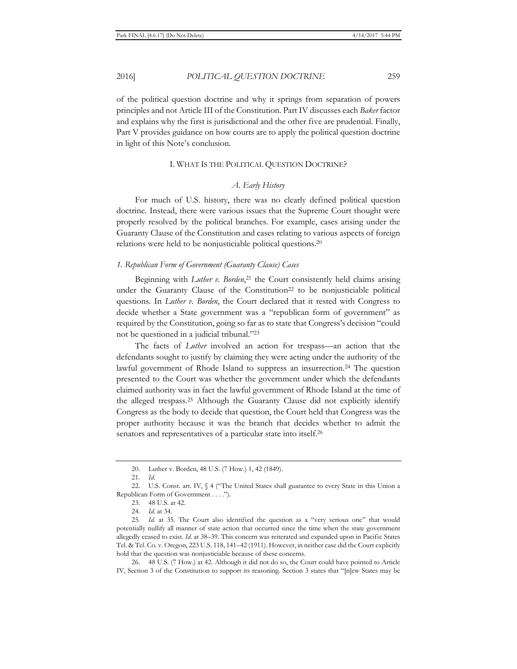of the political question doctrine and why it springs from separation of powers principles and not Article III of the Constitution. Part IV discusses each *Baker* factor and explains why the first is jurisdictional and the other five are prudential. Finally, Part V provides guidance on how courts are to apply the political question doctrine in light of this Note's conclusion.

### I. WHAT IS THE POLITICAL QUESTION DOCTRINE?

## *A. Early History*

For much of U.S. history, there was no clearly defined political question doctrine. Instead, there were various issues that the Supreme Court thought were properly resolved by the political branches. For example, cases arising under the Guaranty Clause of the Constitution and cases relating to various aspects of foreign relations were held to be nonjusticiable political questions.20

### *1. Republican Form of Government (Guaranty Clause) Cases*

Beginning with *Luther v. Borden*, 21 the Court consistently held claims arising under the Guaranty Clause of the Constitution<sup>22</sup> to be nonjusticiable political questions. In *Luther v. Borden*, the Court declared that it rested with Congress to decide whether a State government was a "republican form of government" as required by the Constitution, going so far as to state that Congress's decision "could not be questioned in a judicial tribunal."23

The facts of *Luther* involved an action for trespass—an action that the defendants sought to justify by claiming they were acting under the authority of the lawful government of Rhode Island to suppress an insurrection.<sup>24</sup> The question presented to the Court was whether the government under which the defendants claimed authority was in fact the lawful government of Rhode Island at the time of the alleged trespass.25 Although the Guaranty Clause did not explicitly identify Congress as the body to decide that question, the Court held that Congress was the proper authority because it was the branch that decides whether to admit the senators and representatives of a particular state into itself.<sup>26</sup>

26. 48 U.S. (7 How.) at 42. Although it did not do so, the Court could have pointed to Article IV, Section 3 of the Constitution to support its reasoning. Section 3 states that "[n]ew States may be

<sup>20.</sup> Luther v. Borden, 48 U.S. (7 How.) 1, 42 (1849).

<sup>21</sup>*. Id.*

<sup>22.</sup> U.S. Const. art. IV,  $\oint$  4 ("The United States shall guarantee to every State in this Union a Republican Form of Government . . . .").

<sup>23. 48</sup> U.S. at 42.

<sup>24</sup>*. Id.* at 34.

<sup>25</sup>*. Id.* at 35. The Court also identified the question as a "very serious one" that would potentially nullify all manner of state action that occurred since the time when the state government allegedly ceased to exist. *Id.* at 38–39. This concern was reiterated and expanded upon in Pacific States Tel. & Tel. Co. v. Oregon, 223 U.S. 118, 141–42 (1911). However, in neither case did the Court explicitly hold that the question was nonjusticiable because of these concerns.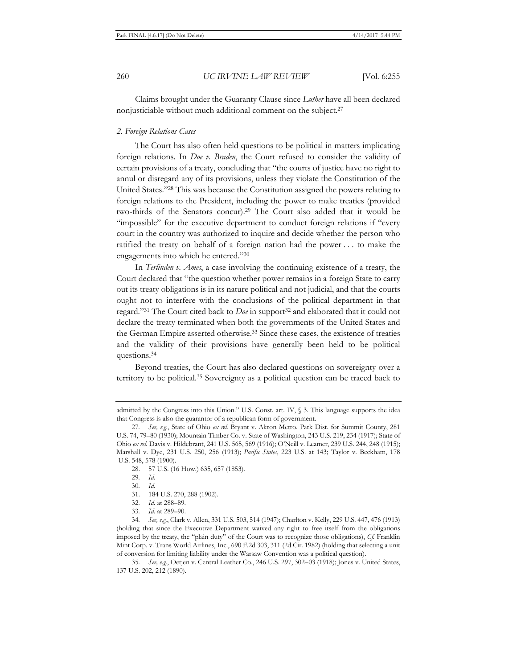Claims brought under the Guaranty Clause since *Luther* have all been declared nonjusticiable without much additional comment on the subject.27

#### *2. Foreign Relations Cases*

The Court has also often held questions to be political in matters implicating foreign relations. In *Doe v. Braden*, the Court refused to consider the validity of certain provisions of a treaty, concluding that "the courts of justice have no right to annul or disregard any of its provisions, unless they violate the Constitution of the United States."28 This was because the Constitution assigned the powers relating to foreign relations to the President, including the power to make treaties (provided two-thirds of the Senators concur).29 The Court also added that it would be "impossible" for the executive department to conduct foreign relations if "every court in the country was authorized to inquire and decide whether the person who ratified the treaty on behalf of a foreign nation had the power . . . to make the engagements into which he entered."30

In *Terlinden v. Ames*, a case involving the continuing existence of a treaty, the Court declared that "the question whether power remains in a foreign State to carry out its treaty obligations is in its nature political and not judicial, and that the courts ought not to interfere with the conclusions of the political department in that regard."<sup>31</sup> The Court cited back to *Doe* in support<sup>32</sup> and elaborated that it could not declare the treaty terminated when both the governments of the United States and the German Empire asserted otherwise.33 Since these cases, the existence of treaties and the validity of their provisions have generally been held to be political questions.34

Beyond treaties, the Court has also declared questions on sovereignty over a territory to be political.35 Sovereignty as a political question can be traced back to

28. 57 U.S. (16 How.) 635, 657 (1853).

- 31. 184 U.S. 270, 288 (1902).
- 32*. Id.* at 288–89.
- 33*. Id.* at 289–90.

34*. See, e.g.*, Clark v. Allen, 331 U.S. 503, 514 (1947); Charlton v. Kelly, 229 U.S. 447, 476 (1913) (holding that since the Executive Department waived any right to free itself from the obligations imposed by the treaty, the "plain duty" of the Court was to recognize those obligations), *Cf.* Franklin Mint Corp. v. Trans World Airlines, Inc., 690 F.2d 303, 311 (2d Cir. 1982) (holding that selecting a unit of conversion for limiting liability under the Warsaw Convention was a political question).

35*. See, e.g.*, Oetjen v. Central Leather Co., 246 U.S. 297, 302–03 (1918); Jones v. United States, 137 U.S. 202, 212 (1890).

admitted by the Congress into this Union." U.S. Const. art. IV, § 3. This language supports the idea that Congress is also the guarantor of a republican form of government.

<sup>27</sup>*. See, e.g.*, State of Ohio *ex rel.* Bryant v. Akron Metro. Park Dist. for Summit County, 281 U.S. 74, 79–80 (1930); Mountain Timber Co. v. State of Washington, 243 U.S. 219, 234 (1917); State of Ohio *ex rel.* Davis v. Hildebrant, 241 U.S. 565, 569 (1916); O'Neill v. Leamer, 239 U.S. 244, 248 (1915); Marshall v. Dye, 231 U.S. 250, 256 (1913); *Pacific States*, 223 U.S. at 143; Taylor v. Beckham, 178 U.S. 548, 578 (1900).

<sup>29</sup>*. Id.*

<sup>30</sup>*. Id.*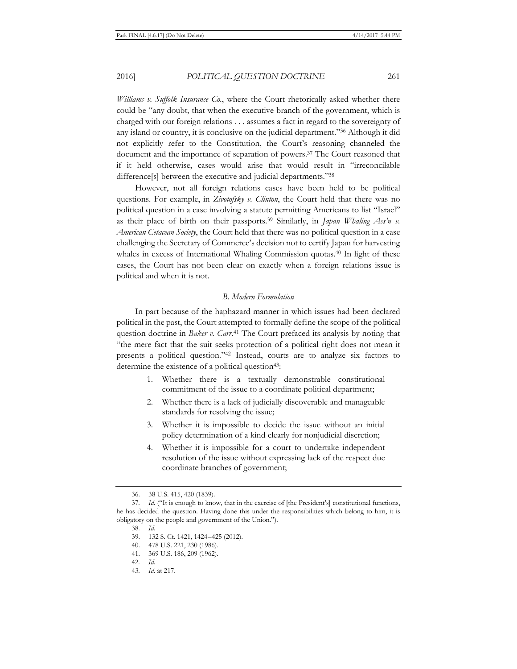*Williams v. Suffolk Insurance Co.*, where the Court rhetorically asked whether there could be "any doubt, that when the executive branch of the government, which is charged with our foreign relations . . . assumes a fact in regard to the sovereignty of any island or country, it is conclusive on the judicial department."36 Although it did not explicitly refer to the Constitution, the Court's reasoning channeled the document and the importance of separation of powers.37 The Court reasoned that if it held otherwise, cases would arise that would result in "irreconcilable difference<sup>[s]</sup> between the executive and judicial departments."<sup>38</sup>

However, not all foreign relations cases have been held to be political questions. For example, in *Zivotofsky v. Clinton*, the Court held that there was no political question in a case involving a statute permitting Americans to list "Israel" as their place of birth on their passports.39 Similarly, in *Japan Whaling Ass'n v. American Cetacean Society*, the Court held that there was no political question in a case challenging the Secretary of Commerce's decision not to certify Japan for harvesting whales in excess of International Whaling Commission quotas.<sup>40</sup> In light of these cases, the Court has not been clear on exactly when a foreign relations issue is political and when it is not.

## *B. Modern Formulation*

In part because of the haphazard manner in which issues had been declared political in the past, the Court attempted to formally define the scope of the political question doctrine in *Baker v. Carr*. 41 The Court prefaced its analysis by noting that "the mere fact that the suit seeks protection of a political right does not mean it presents a political question."42 Instead, courts are to analyze six factors to determine the existence of a political question<sup>43</sup>:

- 1. Whether there is a textually demonstrable constitutional commitment of the issue to a coordinate political department;
- 2. Whether there is a lack of judicially discoverable and manageable standards for resolving the issue;
- 3. Whether it is impossible to decide the issue without an initial policy determination of a kind clearly for nonjudicial discretion;
- 4. Whether it is impossible for a court to undertake independent resolution of the issue without expressing lack of the respect due coordinate branches of government;

41. 369 U.S. 186, 209 (1962).

43*. Id.* at 217.

<sup>36. 38</sup> U.S. 415, 420 (1839).

<sup>37</sup>*. Id.* ("It is enough to know, that in the exercise of [the President's] constitutional functions, he has decided the question. Having done this under the responsibilities which belong to him, it is obligatory on the people and government of the Union.").

<sup>38</sup>*. Id.*

<sup>39. 132</sup> S. Ct. 1421, 1424–425 (2012).

<sup>40. 478</sup> U.S. 221, 230 (1986).

<sup>42</sup>*. Id.*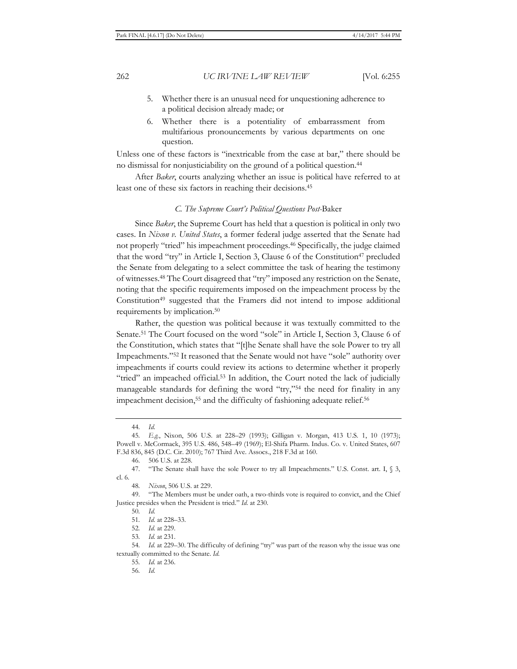- 5. Whether there is an unusual need for unquestioning adherence to a political decision already made; or
- 6. Whether there is a potentiality of embarrassment from multifarious pronouncements by various departments on one question.

Unless one of these factors is "inextricable from the case at bar," there should be no dismissal for nonjusticiability on the ground of a political question.44

After *Baker*, courts analyzing whether an issue is political have referred to at least one of these six factors in reaching their decisions.45

#### *C. The Supreme Court's Political Questions Post-*Baker

Since *Baker*, the Supreme Court has held that a question is political in only two cases. In *Nixon v. United States*, a former federal judge asserted that the Senate had not properly "tried" his impeachment proceedings.46 Specifically, the judge claimed that the word "try" in Article I, Section 3, Clause 6 of the Constitution<sup>47</sup> precluded the Senate from delegating to a select committee the task of hearing the testimony of witnesses.48 The Court disagreed that "try" imposed any restriction on the Senate, noting that the specific requirements imposed on the impeachment process by the Constitution<sup>49</sup> suggested that the Framers did not intend to impose additional requirements by implication.50

Rather, the question was political because it was textually committed to the Senate.51 The Court focused on the word "sole" in Article I, Section 3, Clause 6 of the Constitution, which states that "[t]he Senate shall have the sole Power to try all Impeachments."52 It reasoned that the Senate would not have "sole" authority over impeachments if courts could review its actions to determine whether it properly "tried" an impeached official.<sup>53</sup> In addition, the Court noted the lack of judicially manageable standards for defining the word "try,"54 the need for finality in any impeachment decision,<sup>55</sup> and the difficulty of fashioning adequate relief.<sup>56</sup>

50*. Id.*

53*. Id.* at 231.

<sup>44</sup>*. Id.*

<sup>45</sup>*. E.g.*, Nixon, 506 U.S. at 228–29 (1993); Gilligan v. Morgan, 413 U.S. 1, 10 (1973); Powell v. McCormack, 395 U.S. 486, 548–49 (1969); El-Shifa Pharm. Indus. Co. v. United States, 607 F.3d 836, 845 (D.C. Cir. 2010); 767 Third Ave. Assocs., 218 F.3d at 160.

<sup>46. 506</sup> U.S. at 228.

<sup>47. &</sup>quot;The Senate shall have the sole Power to try all Impeachments." U.S. Const. art. I, § 3, cl. 6.

<sup>48</sup>*. Nixon*, 506 U.S. at 229.

<sup>49. &</sup>quot;The Members must be under oath, a two-thirds vote is required to convict, and the Chief Justice presides when the President is tried." *Id.* at 230.

<sup>51</sup>*. Id.* at 228–33.

<sup>52</sup>*. Id.* at 229.

<sup>54</sup>*. Id.* at 229–30. The difficulty of defining "try" was part of the reason why the issue was one textually committed to the Senate. *Id.*

<sup>55</sup>*. Id.* at 236.

<sup>56</sup>*. Id.*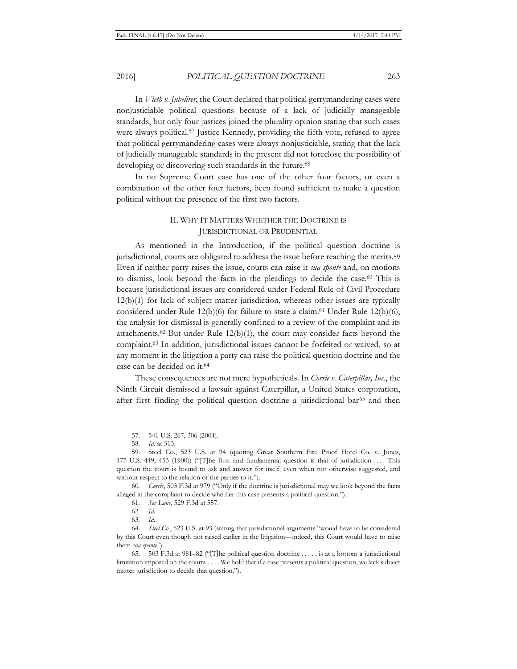In *Vieth v. Jubelirer*, the Court declared that political gerrymandering cases were nonjusticiable political questions because of a lack of judicially manageable standards, but only four justices joined the plurality opinion stating that such cases were always political.57 Justice Kennedy, providing the fifth vote, refused to agree that political gerrymandering cases were always nonjusticiable, stating that the lack of judicially manageable standards in the present did not foreclose the possibility of developing or discovering such standards in the future.<sup>58</sup>

In no Supreme Court case has one of the other four factors, or even a combination of the other four factors, been found sufficient to make a question political without the presence of the first two factors.

# II. WHY IT MATTERS WHETHER THE DOCTRINE IS JURISDICTIONAL OR PRUDENTIAL

As mentioned in the Introduction, if the political question doctrine is jurisdictional, courts are obligated to address the issue before reaching the merits.59 Even if neither party raises the issue, courts can raise it *sua sponte* and, on motions to dismiss, look beyond the facts in the pleadings to decide the case.60 This is because jurisdictional issues are considered under Federal Rule of Civil Procedure 12(b)(1) for lack of subject matter jurisdiction, whereas other issues are typically considered under Rule  $12(b)(6)$  for failure to state a claim.<sup>61</sup> Under Rule  $12(b)(6)$ , the analysis for dismissal is generally confined to a review of the complaint and its attachments.<sup>62</sup> But under Rule  $12(b)(1)$ , the court may consider facts beyond the complaint.63 In addition, jurisdictional issues cannot be forfeited or waived, so at any moment in the litigation a party can raise the political question doctrine and the case can be decided on it.64

These consequences are not mere hypotheticals. In *Corrie v. Caterpillar, Inc.*, the Ninth Circuit dismissed a lawsuit against Caterpillar, a United States corporation, after first finding the political question doctrine a jurisdictional bar<sup>65</sup> and then

60*. Corrie*, 503 F.3d at 979 ("Only if the doctrine is jurisdictional may we look beyond the facts alleged in the complaint to decide whether this case presents a political question.").

61*. See Lane*, 529 F.3d at 557.

62*. Id.*

63*. Id.*

<sup>57. 541</sup> U.S. 267, 306 (2004).

<sup>58</sup>*. Id.* at 313.

<sup>59.</sup> Steel Co., 523 U.S. at 94 (quoting Great Southern Fire Proof Hotel Co. v. Jones, 177 U.S. 449, 453 (1900)) ("[T]he first and fundamental question is that of jurisdiction . . . . This question the court is bound to ask and answer for itself, even when not otherwise suggested, and without respect to the relation of the parties to it.").

<sup>64</sup>*. Steel Co.*, 523 U.S. at 93 (stating that jurisdictional arguments "would have to be considered by this Court even though not raised earlier in the litigation—indeed, this Court would have to raise them *sua sponte*").

<sup>65. 503</sup> F.3d at 981–82 ("[T]he political question doctrine . . . . . is at a bottom a jurisdictional limitation imposed on the courts . . . . We hold that if a case presents a political question, we lack subject matter jurisdiction to decide that question.").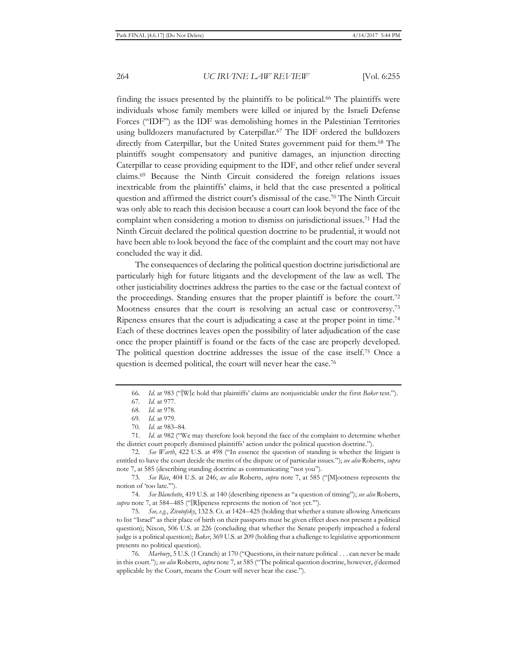finding the issues presented by the plaintiffs to be political.<sup>66</sup> The plaintiffs were individuals whose family members were killed or injured by the Israeli Defense Forces ("IDF") as the IDF was demolishing homes in the Palestinian Territories using bulldozers manufactured by Caterpillar.67 The IDF ordered the bulldozers directly from Caterpillar, but the United States government paid for them.68 The plaintiffs sought compensatory and punitive damages, an injunction directing Caterpillar to cease providing equipment to the IDF, and other relief under several claims.69 Because the Ninth Circuit considered the foreign relations issues inextricable from the plaintiffs' claims, it held that the case presented a political question and affirmed the district court's dismissal of the case.70 The Ninth Circuit was only able to reach this decision because a court can look beyond the face of the complaint when considering a motion to dismiss on jurisdictional issues.71 Had the Ninth Circuit declared the political question doctrine to be prudential, it would not have been able to look beyond the face of the complaint and the court may not have concluded the way it did.

The consequences of declaring the political question doctrine jurisdictional are particularly high for future litigants and the development of the law as well. The other justiciability doctrines address the parties to the case or the factual context of the proceedings. Standing ensures that the proper plaintiff is before the court.<sup>72</sup> Mootness ensures that the court is resolving an actual case or controversy.73 Ripeness ensures that the court is adjudicating a case at the proper point in time.74 Each of these doctrines leaves open the possibility of later adjudication of the case once the proper plaintiff is found or the facts of the case are properly developed. The political question doctrine addresses the issue of the case itself.75 Once a question is deemed political, the court will never hear the case.76

71*. Id.* at 982 ("We may therefore look beyond the face of the complaint to determine whether the district court properly dismissed plaintiffs' action under the political question doctrine.").

72*. See Warth*, 422 U.S. at 498 ("In essence the question of standing is whether the litigant is entitled to have the court decide the merits of the dispute or of particular issues."); *see also* Roberts, *supra* note 7, at 585 (describing standing doctrine as communicating "not you").

73*. See Rice*, 404 U.S. at 246; *see also* Roberts, *supra* note 7, at 585 ("[M]ootness represents the notion of 'too late.'").

74*. See Blanchette*, 419 U.S. at 140 (describing ripeness as "a question of timing"); *see also* Roberts, *supra* note 7, at 584–485 ("[R]ipeness represents the notion of 'not yet.'").

75*. See, e.g.*, *Zivotofsky*, 132 S. Ct. at 1424–425 (holding that whether a statute allowing Americans to list "Israel" as their place of birth on their passports must be given effect does not present a political question); Nixon, 506 U.S. at 226 (concluding that whether the Senate properly impeached a federal judge is a political question); *Baker*, 369 U.S. at 209 (holding that a challenge to legislative apportionment presents no political question).

76*. Marbury*, 5 U.S. (1 Cranch) at 170 ("Questions, in their nature political . . . can never be made in this court."); *see also* Roberts, *supra* note 7, at 585 ("The political question doctrine, however, *if* deemed applicable by the Court, means the Court will never hear the case.").

<sup>66</sup>*. Id.* at 983 ("[W]e hold that plaintiffs' claims are nonjusticiable under the first *Baker* test.").

<sup>67</sup>*. Id.* at 977.

<sup>68</sup>*. Id.* at 978.

<sup>69</sup>*. Id.* at 979.

<sup>70</sup>*. Id.* at 983–84.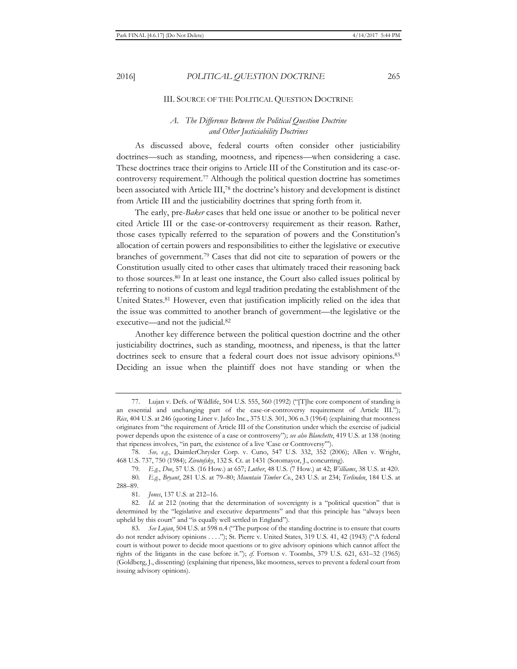### III. SOURCE OF THE POLITICAL QUESTION DOCTRINE

# *A. The Difference Between the Political Question Doctrine and Other Justiciability Doctrines*

As discussed above, federal courts often consider other justiciability doctrines—such as standing, mootness, and ripeness—when considering a case. These doctrines trace their origins to Article III of the Constitution and its case-orcontroversy requirement.77 Although the political question doctrine has sometimes been associated with Article III,78 the doctrine's history and development is distinct from Article III and the justiciability doctrines that spring forth from it.

The early, pre-*Baker* cases that held one issue or another to be political never cited Article III or the case-or-controversy requirement as their reason. Rather, those cases typically referred to the separation of powers and the Constitution's allocation of certain powers and responsibilities to either the legislative or executive branches of government.79 Cases that did not cite to separation of powers or the Constitution usually cited to other cases that ultimately traced their reasoning back to those sources.80 In at least one instance, the Court also called issues political by referring to notions of custom and legal tradition predating the establishment of the United States.81 However, even that justification implicitly relied on the idea that the issue was committed to another branch of government—the legislative or the executive—and not the judicial.82

Another key difference between the political question doctrine and the other justiciability doctrines, such as standing, mootness, and ripeness, is that the latter doctrines seek to ensure that a federal court does not issue advisory opinions.<sup>83</sup> Deciding an issue when the plaintiff does not have standing or when the

<sup>77.</sup> Lujan v. Defs. of Wildlife, 504 U.S. 555, 560 (1992) ("[T]he core component of standing is an essential and unchanging part of the case-or-controversy requirement of Article III."); *Rice*, 404 U.S. at 246 (quoting Liner v. Jafco Inc., 375 U.S. 301, 306 n.3 (1964) (explaining that mootness originates from "the requirement of Article III of the Constitution under which the exercise of judicial power depends upon the existence of a case or controversy"); *see also Blanchette*, 419 U.S. at 138 (noting that ripeness involves, "in part, the existence of a live 'Case or Controversy'").

<sup>78</sup>*. See, e.g.*, DaimlerChrysler Corp. v. Cuno, 547 U.S. 332, 352 (2006); Allen v. Wright, 468 U.S. 737, 750 (1984); *Zivotofsky*, 132 S. Ct. at 1431 (Sotomayor, J., concurring).

<sup>79</sup>*. E.g.*, *Doe*, 57 U.S. (16 How.) at 657; *Luther*, 48 U.S. (7 How.) at 42; *Williams*, 38 U.S. at 420.

<sup>80</sup>*. E.g.*, *Bryant*, 281 U.S. at 79–80; *Mountain Timber Co.*, 243 U.S. at 234; *Terlinden*, 184 U.S. at 288–89.

<sup>81</sup>*. Jones*, 137 U.S. at 212–16.

<sup>82</sup>*. Id.* at 212 (noting that the determination of sovereignty is a "political question" that is determined by the "legislative and executive departments" and that this principle has "always been upheld by this court" and "is equally well settled in England").

<sup>83</sup>*. See Lujan*, 504 U.S. at 598 n.4 ("The purpose of the standing doctrine is to ensure that courts do not render advisory opinions . . . . "); St. Pierre v. United States, 319 U.S. 41, 42 (1943) ("A federal court is without power to decide moot questions or to give advisory opinions which cannot affect the rights of the litigants in the case before it."); *cf.* Fortson v. Toombs, 379 U.S. 621, 631–32 (1965) (Goldberg, J., dissenting) (explaining that ripeness, like mootness, serves to prevent a federal court from issuing advisory opinions).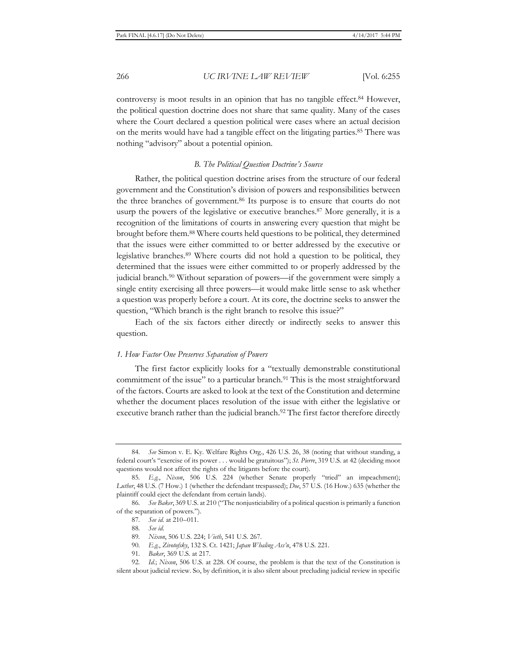controversy is moot results in an opinion that has no tangible effect.<sup>84</sup> However, the political question doctrine does not share that same quality. Many of the cases where the Court declared a question political were cases where an actual decision on the merits would have had a tangible effect on the litigating parties.85 There was nothing "advisory" about a potential opinion.

#### *B. The Political Question Doctrine's Source*

Rather, the political question doctrine arises from the structure of our federal government and the Constitution's division of powers and responsibilities between the three branches of government.86 Its purpose is to ensure that courts do not usurp the powers of the legislative or executive branches.<sup>87</sup> More generally, it is a recognition of the limitations of courts in answering every question that might be brought before them.88 Where courts held questions to be political, they determined that the issues were either committed to or better addressed by the executive or legislative branches.89 Where courts did not hold a question to be political, they determined that the issues were either committed to or properly addressed by the judicial branch.90 Without separation of powers—if the government were simply a single entity exercising all three powers—it would make little sense to ask whether a question was properly before a court. At its core, the doctrine seeks to answer the question, "Which branch is the right branch to resolve this issue?"

Each of the six factors either directly or indirectly seeks to answer this question.

#### *1. How Factor One Preserves Separation of Powers*

The first factor explicitly looks for a "textually demonstrable constitutional commitment of the issue" to a particular branch.<sup>91</sup> This is the most straightforward of the factors. Courts are asked to look at the text of the Constitution and determine whether the document places resolution of the issue with either the legislative or executive branch rather than the judicial branch.<sup>92</sup> The first factor therefore directly

- 90*. E.g.*, *Zivotofsky*, 132 S. Ct. 1421; *Japan Whaling Ass'n*, 478 U.S. 221.
- 91*. Baker*, 369 U.S. at 217.

<sup>84</sup>*. See* Simon v. E. Ky. Welfare Rights Org., 426 U.S. 26, 38 (noting that without standing, a federal court's "exercise of its power . . . would be gratuitous"); *St. Pierre*, 319 U.S. at 42 (deciding moot questions would not affect the rights of the litigants before the court).

<sup>85</sup>*. E.g.*, *Nixon*, 506 U.S. 224 (whether Senate properly "tried" an impeachment); *Luther*, 48 U.S. (7 How.) 1 (whether the defendant trespassed); *Doe*, 57 U.S. (16 How.) 635 (whether the plaintiff could eject the defendant from certain lands).

<sup>86</sup>*. See Baker*, 369 U.S. at 210 ("The nonjusticiability of a political question is primarily a function of the separation of powers.").

<sup>87</sup>*. See id.* at 210–011.

<sup>88</sup>*. See id.*

<sup>89</sup>*. Nixon*, 506 U.S. 224; *Vieth*, 541 U.S. 267.

<sup>92</sup>*. Id.*; *Nixon*, 506 U.S. at 228. Of course, the problem is that the text of the Constitution is silent about judicial review. So, by definition, it is also silent about precluding judicial review in specific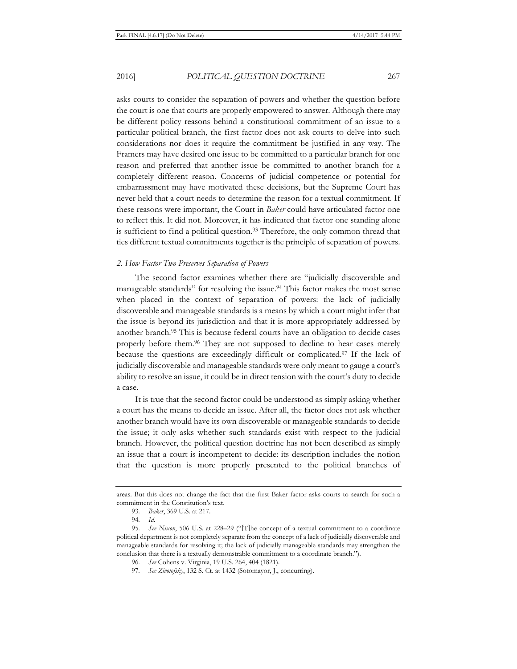asks courts to consider the separation of powers and whether the question before the court is one that courts are properly empowered to answer. Although there may be different policy reasons behind a constitutional commitment of an issue to a particular political branch, the first factor does not ask courts to delve into such considerations nor does it require the commitment be justified in any way. The Framers may have desired one issue to be committed to a particular branch for one reason and preferred that another issue be committed to another branch for a completely different reason. Concerns of judicial competence or potential for embarrassment may have motivated these decisions, but the Supreme Court has never held that a court needs to determine the reason for a textual commitment. If these reasons were important, the Court in *Baker* could have articulated factor one to reflect this. It did not. Moreover, it has indicated that factor one standing alone is sufficient to find a political question.<sup>93</sup> Therefore, the only common thread that ties different textual commitments together is the principle of separation of powers.

## *2. How Factor Two Preserves Separation of Powers*

The second factor examines whether there are "judicially discoverable and manageable standards" for resolving the issue.94 This factor makes the most sense when placed in the context of separation of powers: the lack of judicially discoverable and manageable standards is a means by which a court might infer that the issue is beyond its jurisdiction and that it is more appropriately addressed by another branch.95 This is because federal courts have an obligation to decide cases properly before them.96 They are not supposed to decline to hear cases merely because the questions are exceedingly difficult or complicated.97 If the lack of judicially discoverable and manageable standards were only meant to gauge a court's ability to resolve an issue, it could be in direct tension with the court's duty to decide a case.

It is true that the second factor could be understood as simply asking whether a court has the means to decide an issue. After all, the factor does not ask whether another branch would have its own discoverable or manageable standards to decide the issue; it only asks whether such standards exist with respect to the judicial branch. However, the political question doctrine has not been described as simply an issue that a court is incompetent to decide: its description includes the notion that the question is more properly presented to the political branches of

areas. But this does not change the fact that the first Baker factor asks courts to search for such a commitment in the Constitution's text.

<sup>93</sup>*. Baker*, 369 U.S. at 217.

<sup>94</sup>*. Id.*

<sup>95</sup>*. See Nixon*, 506 U.S. at 228–29 ("[T]he concept of a textual commitment to a coordinate political department is not completely separate from the concept of a lack of judicially discoverable and manageable standards for resolving it; the lack of judicially manageable standards may strengthen the conclusion that there is a textually demonstrable commitment to a coordinate branch.").

<sup>96</sup>*. See* Cohens v. Virginia, 19 U.S. 264, 404 (1821).

<sup>97</sup>*. See Zivotofsky*, 132 S. Ct. at 1432 (Sotomayor, J., concurring).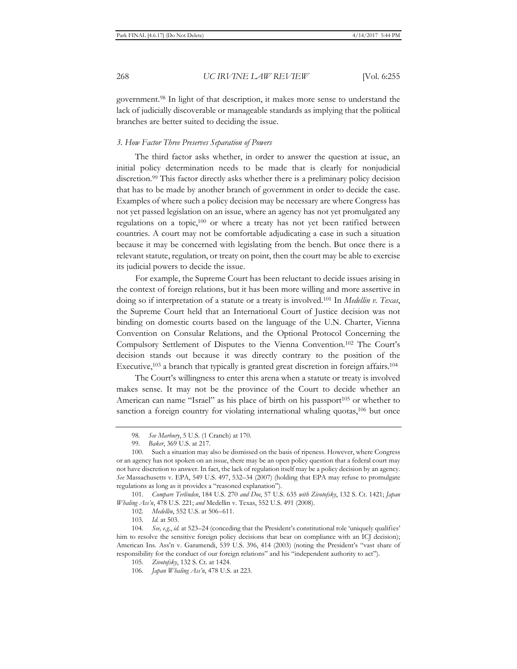government.98 In light of that description, it makes more sense to understand the lack of judicially discoverable or manageable standards as implying that the political branches are better suited to deciding the issue.

#### *3. How Factor Three Preserves Separation of Powers*

The third factor asks whether, in order to answer the question at issue, an initial policy determination needs to be made that is clearly for nonjudicial discretion.99 This factor directly asks whether there is a preliminary policy decision that has to be made by another branch of government in order to decide the case. Examples of where such a policy decision may be necessary are where Congress has not yet passed legislation on an issue, where an agency has not yet promulgated any regulations on a topic,100 or where a treaty has not yet been ratified between countries. A court may not be comfortable adjudicating a case in such a situation because it may be concerned with legislating from the bench. But once there is a relevant statute, regulation, or treaty on point, then the court may be able to exercise its judicial powers to decide the issue.

For example, the Supreme Court has been reluctant to decide issues arising in the context of foreign relations, but it has been more willing and more assertive in doing so if interpretation of a statute or a treaty is involved.101 In *Medellin v. Texas*, the Supreme Court held that an International Court of Justice decision was not binding on domestic courts based on the language of the U.N. Charter, Vienna Convention on Consular Relations, and the Optional Protocol Concerning the Compulsory Settlement of Disputes to the Vienna Convention.102 The Court's decision stands out because it was directly contrary to the position of the Executive,103 a branch that typically is granted great discretion in foreign affairs.104

The Court's willingness to enter this arena when a statute or treaty is involved makes sense. It may not be the province of the Court to decide whether an American can name "Israel" as his place of birth on his passport<sup>105</sup> or whether to sanction a foreign country for violating international whaling quotas,<sup>106</sup> but once

<sup>98</sup>*. See Marbury*, 5 U.S. (1 Cranch) at 170.

<sup>99</sup>*. Baker*, 369 U.S. at 217.

<sup>100.</sup> Such a situation may also be dismissed on the basis of ripeness. However, where Congress or an agency has not spoken on an issue, there may be an open policy question that a federal court may not have discretion to answer. In fact, the lack of regulation itself may be a policy decision by an agency. *See* Massachusetts v. EPA, 549 U.S. 497, 532–34 (2007) (holding that EPA may refuse to promulgate regulations as long as it provides a "reasoned explanation").

<sup>101</sup>*. Compare Terlinden*, 184 U.S. 270 *and Doe*, 57 U.S. 635 *with Zivotofsky*, 132 S. Ct. 1421; *Japan Whaling Ass'n*, 478 U.S. 221; *and* Medellin v. Texas, 552 U.S. 491 (2008).

<sup>102</sup>*. Medellin*, 552 U.S. at 506–611.

<sup>103</sup>*. Id.* at 503.

<sup>104</sup>*. See, e.g.*, *id.* at 523–24 (conceding that the President's constitutional role 'uniquely qualifies' him to resolve the sensitive foreign policy decisions that bear on compliance with an ICJ decision); American Ins. Ass'n v. Garamendi, 539 U.S. 396, 414 (2003) (noting the President's "vast share of responsibility for the conduct of our foreign relations" and his "independent authority to act").

<sup>105</sup>*. Zivotofsky*, 132 S. Ct. at 1424.

<sup>106</sup>*. Japan Whaling Ass'n*, 478 U.S. at 223.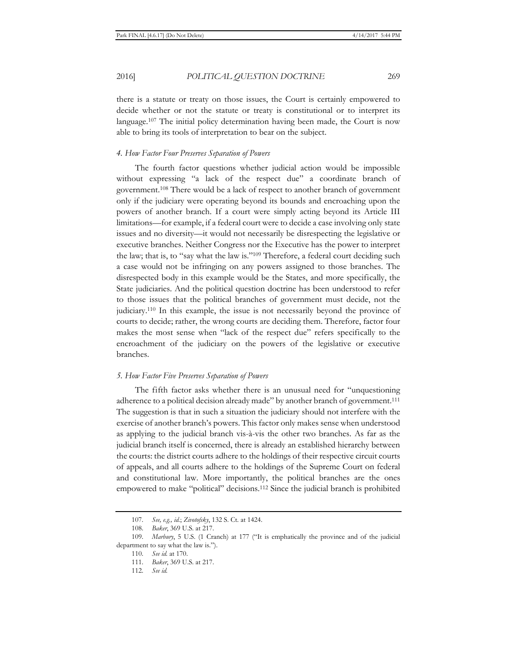there is a statute or treaty on those issues, the Court is certainly empowered to decide whether or not the statute or treaty is constitutional or to interpret its language.<sup>107</sup> The initial policy determination having been made, the Court is now able to bring its tools of interpretation to bear on the subject.

## *4. How Factor Four Preserves Separation of Powers*

The fourth factor questions whether judicial action would be impossible without expressing "a lack of the respect due" a coordinate branch of government.108 There would be a lack of respect to another branch of government only if the judiciary were operating beyond its bounds and encroaching upon the powers of another branch. If a court were simply acting beyond its Article III limitations—for example, if a federal court were to decide a case involving only state issues and no diversity—it would not necessarily be disrespecting the legislative or executive branches. Neither Congress nor the Executive has the power to interpret the law; that is, to "say what the law is."109 Therefore, a federal court deciding such a case would not be infringing on any powers assigned to those branches. The disrespected body in this example would be the States, and more specifically, the State judiciaries. And the political question doctrine has been understood to refer to those issues that the political branches of government must decide, not the judiciary.110 In this example, the issue is not necessarily beyond the province of courts to decide; rather, the wrong courts are deciding them. Therefore, factor four makes the most sense when "lack of the respect due" refers specifically to the encroachment of the judiciary on the powers of the legislative or executive branches.

### *5. How Factor Five Preserves Separation of Powers*

The fifth factor asks whether there is an unusual need for "unquestioning adherence to a political decision already made" by another branch of government.<sup>111</sup> The suggestion is that in such a situation the judiciary should not interfere with the exercise of another branch's powers. This factor only makes sense when understood as applying to the judicial branch vis-à-vis the other two branches. As far as the judicial branch itself is concerned, there is already an established hierarchy between the courts: the district courts adhere to the holdings of their respective circuit courts of appeals, and all courts adhere to the holdings of the Supreme Court on federal and constitutional law. More importantly, the political branches are the ones empowered to make "political" decisions.112 Since the judicial branch is prohibited

<sup>107</sup>*. See, e.g., id.*; *Zivotofsky*, 132 S. Ct. at 1424.

<sup>108</sup>*. Baker*, 369 U.S. at 217.

<sup>109</sup>*. Marbury*, 5 U.S. (1 Cranch) at 177 ("It is emphatically the province and of the judicial department to say what the law is.").

<sup>110</sup>*. See id.* at 170.

<sup>111</sup>*. Baker*, 369 U.S. at 217.

<sup>112</sup>*. See id.*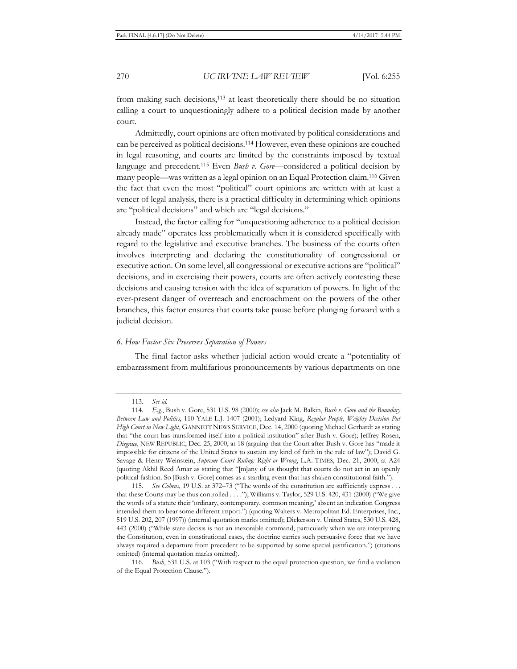from making such decisions,<sup>113</sup> at least theoretically there should be no situation calling a court to unquestioningly adhere to a political decision made by another court.

Admittedly, court opinions are often motivated by political considerations and can be perceived as political decisions.114 However, even these opinions are couched in legal reasoning, and courts are limited by the constraints imposed by textual language and precedent.115 Even *Bush v. Gore*—considered a political decision by many people—was written as a legal opinion on an Equal Protection claim.116 Given the fact that even the most "political" court opinions are written with at least a veneer of legal analysis, there is a practical difficulty in determining which opinions are "political decisions" and which are "legal decisions."

Instead, the factor calling for "unquestioning adherence to a political decision already made" operates less problematically when it is considered specifically with regard to the legislative and executive branches. The business of the courts often involves interpreting and declaring the constitutionality of congressional or executive action. On some level, all congressional or executive actions are "political" decisions, and in exercising their powers, courts are often actively contesting these decisions and causing tension with the idea of separation of powers. In light of the ever-present danger of overreach and encroachment on the powers of the other branches, this factor ensures that courts take pause before plunging forward with a judicial decision.

## *6. How Factor Six Preserves Separation of Powers*

The final factor asks whether judicial action would create a "potentiality of embarrassment from multifarious pronouncements by various departments on one

<sup>113</sup>*. See id.*

<sup>114</sup>*. E.g.*, Bush v. Gore, 531 U.S. 98 (2000); *see also* Jack M. Balkin, *Bush v. Gore and the Boundary Between Law and Politics*, 110 YALE L.J. 1407 (2001); Ledyard King, *Regular People, Weighty Decision Put High Court in New Light*, GANNETT NEWS SERVICE, Dec. 14, 2000 (quoting Michael Gerhardt as stating that "the court has transformed itself into a political institution" after Bush v. Gore); Jeffrey Rosen, *Disgrace*, NEW REPUBLIC, Dec. 25, 2000, at 18 (arguing that the Court after Bush v. Gore has "made it impossible for citizens of the United States to sustain any kind of faith in the rule of law"); David G. Savage & Henry Weinstein, *Supreme Court Ruling: Right or Wrong*, L.A. TIMES, Dec. 21, 2000, at A24 (quoting Akhil Reed Amar as stating that "[m]any of us thought that courts do not act in an openly political fashion. So [Bush v. Gore] comes as a startling event that has shaken constitutional faith.").

<sup>115</sup>*. See Cohens*, 19 U.S. at 372–73 ("The words of the constitution are sufficiently express . . . that these Courts may be thus controlled . . . ."); Williams v. Taylor, 529 U.S. 420, 431 (2000) ("We give the words of a statute their 'ordinary, contemporary, common meaning,' absent an indication Congress intended them to bear some different import.") (quoting Walters v. Metropolitan Ed. Enterprises, Inc., 519 U.S. 202, 207 (1997)) (internal quotation marks omitted); Dickerson v. United States, 530 U.S. 428, 443 (2000) ("While stare decisis is not an inexorable command, particularly when we are interpreting the Constitution, even in constitutional cases, the doctrine carries such persuasive force that we have always required a departure from precedent to be supported by some special justification.") (citations omitted) (internal quotation marks omitted).

<sup>116</sup>*. Bush*, 531 U.S. at 103 ("With respect to the equal protection question, we find a violation of the Equal Protection Clause.").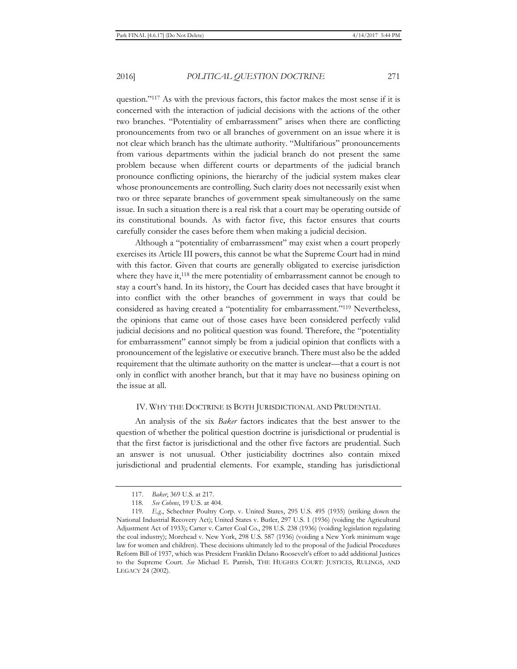question."117 As with the previous factors, this factor makes the most sense if it is concerned with the interaction of judicial decisions with the actions of the other two branches. "Potentiality of embarrassment" arises when there are conflicting pronouncements from two or all branches of government on an issue where it is not clear which branch has the ultimate authority. "Multifarious" pronouncements from various departments within the judicial branch do not present the same problem because when different courts or departments of the judicial branch pronounce conflicting opinions, the hierarchy of the judicial system makes clear whose pronouncements are controlling. Such clarity does not necessarily exist when two or three separate branches of government speak simultaneously on the same issue. In such a situation there is a real risk that a court may be operating outside of its constitutional bounds. As with factor five, this factor ensures that courts carefully consider the cases before them when making a judicial decision.

Although a "potentiality of embarrassment" may exist when a court properly exercises its Article III powers, this cannot be what the Supreme Court had in mind with this factor. Given that courts are generally obligated to exercise jurisdiction where they have it,<sup>118</sup> the mere potentiality of embarrassment cannot be enough to stay a court's hand. In its history, the Court has decided cases that have brought it into conflict with the other branches of government in ways that could be considered as having created a "potentiality for embarrassment."119 Nevertheless, the opinions that came out of those cases have been considered perfectly valid judicial decisions and no political question was found. Therefore, the "potentiality for embarrassment" cannot simply be from a judicial opinion that conflicts with a pronouncement of the legislative or executive branch. There must also be the added requirement that the ultimate authority on the matter is unclear—that a court is not only in conflict with another branch, but that it may have no business opining on the issue at all.

## IV. WHY THE DOCTRINE IS BOTH JURISDICTIONAL AND PRUDENTIAL

An analysis of the six *Baker* factors indicates that the best answer to the question of whether the political question doctrine is jurisdictional or prudential is that the first factor is jurisdictional and the other five factors are prudential. Such an answer is not unusual. Other justiciability doctrines also contain mixed jurisdictional and prudential elements. For example, standing has jurisdictional

<sup>117</sup>*. Baker*, 369 U.S. at 217.

<sup>118</sup>*. See Cohens*, 19 U.S. at 404.

<sup>119</sup>*. E.g.*, Schechter Poultry Corp. v. United States, 295 U.S. 495 (1935) (striking down the National Industrial Recovery Act); United States v. Butler, 297 U.S. 1 (1936) (voiding the Agricultural Adjustment Act of 1933); Carter v. Carter Coal Co., 298 U.S. 238 (1936) (voiding legislation regulating the coal industry); Morehead v. New York, 298 U.S. 587 (1936) (voiding a New York minimum wage law for women and children). These decisions ultimately led to the proposal of the Judicial Procedures Reform Bill of 1937, which was President Franklin Delano Roosevelt's effort to add additional Justices to the Supreme Court. *See* Michael E. Parrish, THE HUGHES COURT: JUSTICES, RULINGS, AND LEGACY 24 (2002).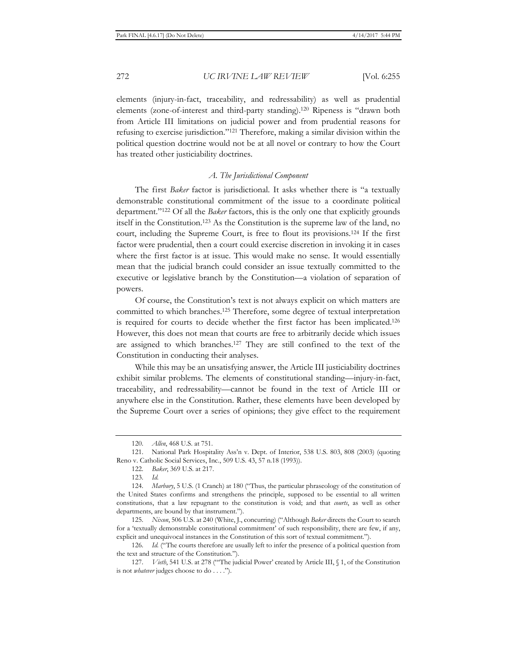elements (injury-in-fact, traceability, and redressability) as well as prudential elements (zone-of-interest and third-party standing).120 Ripeness is "drawn both from Article III limitations on judicial power and from prudential reasons for refusing to exercise jurisdiction."121 Therefore, making a similar division within the political question doctrine would not be at all novel or contrary to how the Court has treated other justiciability doctrines.

## *A. The Jurisdictional Component*

The first *Baker* factor is jurisdictional. It asks whether there is "a textually demonstrable constitutional commitment of the issue to a coordinate political department."122 Of all the *Baker* factors, this is the only one that explicitly grounds itself in the Constitution.123 As the Constitution is the supreme law of the land, no court, including the Supreme Court, is free to flout its provisions.124 If the first factor were prudential, then a court could exercise discretion in invoking it in cases where the first factor is at issue. This would make no sense. It would essentially mean that the judicial branch could consider an issue textually committed to the executive or legislative branch by the Constitution—a violation of separation of powers.

Of course, the Constitution's text is not always explicit on which matters are committed to which branches.125 Therefore, some degree of textual interpretation is required for courts to decide whether the first factor has been implicated.126 However, this does not mean that courts are free to arbitrarily decide which issues are assigned to which branches.127 They are still confined to the text of the Constitution in conducting their analyses.

While this may be an unsatisfying answer, the Article III justiciability doctrines exhibit similar problems. The elements of constitutional standing—injury-in-fact, traceability, and redressability—cannot be found in the text of Article III or anywhere else in the Constitution. Rather, these elements have been developed by the Supreme Court over a series of opinions; they give effect to the requirement

126*. Id.* ("The courts therefore are usually left to infer the presence of a political question from the text and structure of the Constitution.").

<sup>120</sup>*. Allen*, 468 U.S. at 751.

<sup>121.</sup> National Park Hospitality Ass'n v. Dept. of Interior, 538 U.S. 803, 808 (2003) (quoting Reno v. Catholic Social Services, Inc., 509 U.S. 43, 57 n.18 (1993)).

<sup>122</sup>*. Baker*, 369 U.S. at 217.

<sup>123</sup>*. Id.*

<sup>124</sup>*. Marbury*, 5 U.S. (1 Cranch) at 180 ("Thus, the particular phraseology of the constitution of the United States confirms and strengthens the principle, supposed to be essential to all written constitutions, that a law repugnant to the constitution is void; and that *courts*, as well as other departments, are bound by that instrument.").

<sup>125</sup>*. Nixon*, 506 U.S. at 240 (White, J., concurring) ("Although *Baker* directs the Court to search for a 'textually demonstrable constitutional commitment' of such responsibility, there are few, if any, explicit and unequivocal instances in the Constitution of this sort of textual commitment.").

<sup>127</sup>*. Vieth*, 541 U.S. at 278 ("'The judicial Power' created by Article III, § 1, of the Constitution is not *whatever* judges choose to do . . . .").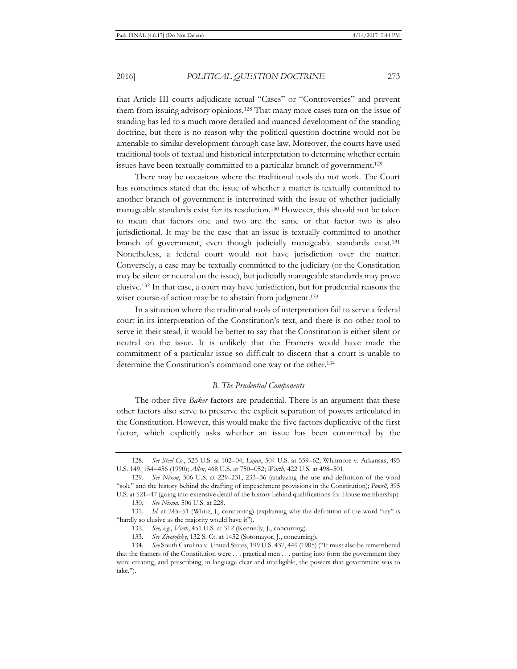that Article III courts adjudicate actual "Cases" or "Controversies" and prevent them from issuing advisory opinions.128 That many more cases turn on the issue of standing has led to a much more detailed and nuanced development of the standing doctrine, but there is no reason why the political question doctrine would not be amenable to similar development through case law. Moreover, the courts have used traditional tools of textual and historical interpretation to determine whether certain issues have been textually committed to a particular branch of government.<sup>129</sup>

There may be occasions where the traditional tools do not work. The Court has sometimes stated that the issue of whether a matter is textually committed to another branch of government is intertwined with the issue of whether judicially manageable standards exist for its resolution.130 However, this should not be taken to mean that factors one and two are the same or that factor two is also jurisdictional. It may be the case that an issue is textually committed to another branch of government, even though judicially manageable standards exist.131 Nonetheless, a federal court would not have jurisdiction over the matter. Conversely, a case may be textually committed to the judiciary (or the Constitution may be silent or neutral on the issue), but judicially manageable standards may prove elusive.132 In that case, a court may have jurisdiction, but for prudential reasons the wiser course of action may be to abstain from judgment.133

In a situation where the traditional tools of interpretation fail to serve a federal court in its interpretation of the Constitution's text, and there is no other tool to serve in their stead, it would be better to say that the Constitution is either silent or neutral on the issue. It is unlikely that the Framers would have made the commitment of a particular issue so difficult to discern that a court is unable to determine the Constitution's command one way or the other.134

### *B. The Prudential Components*

The other five *Baker* factors are prudential. There is an argument that these other factors also serve to preserve the explicit separation of powers articulated in the Constitution. However, this would make the five factors duplicative of the first factor, which explicitly asks whether an issue has been committed by the

130*. See Nixon*, 506 U.S. at 228.

132*. See, e.g.*, *Vieth*, 451 U.S. at 312 (Kennedy, J., concurring).

133*. See Zivotofsky*, 132 S. Ct. at 1432 (Sotomayor, J., concurring).

<sup>128</sup>*. See Steel Co.*, 523 U.S. at 102–04; *Lujan*, 504 U.S. at 559–62; Whitmore v. Arkansas, 495 U.S. 149, 154–456 (1990); *Allen*, 468 U.S. at 750–052; *Warth*, 422 U.S. at 498–501.

<sup>129</sup>*. See Nixon*, 506 U.S. at 229–231, 233–36 (analyzing the use and definition of the word "sole" and the history behind the drafting of impeachment provisions in the Constitution); *Powell*, 395 U.S. at 521–47 (going into extensive detail of the history behind qualifications for House membership).

<sup>131</sup>*. Id.* at 245–51 (White, J., concurring) (explaining why the definition of the word "try" is "hardly so elusive as the majority would have it").

<sup>134</sup>*. See* South Carolina v. United States, 199 U.S. 437, 449 (1905) ("It must also be remembered that the framers of the Constitution were . . . practical men . . . putting into form the government they were creating, and prescribing, in language clear and intelligible, the powers that government was to take.").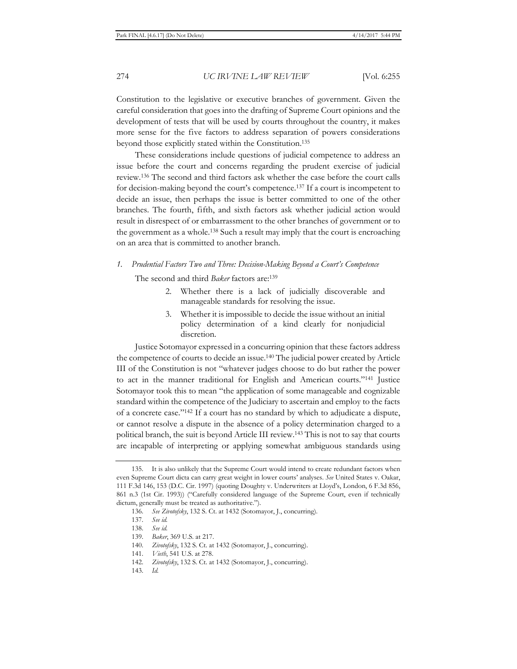Constitution to the legislative or executive branches of government. Given the careful consideration that goes into the drafting of Supreme Court opinions and the development of tests that will be used by courts throughout the country, it makes more sense for the five factors to address separation of powers considerations beyond those explicitly stated within the Constitution.135

These considerations include questions of judicial competence to address an issue before the court and concerns regarding the prudent exercise of judicial review.136 The second and third factors ask whether the case before the court calls for decision-making beyond the court's competence.137 If a court is incompetent to decide an issue, then perhaps the issue is better committed to one of the other branches. The fourth, fifth, and sixth factors ask whether judicial action would result in disrespect of or embarrassment to the other branches of government or to the government as a whole.138 Such a result may imply that the court is encroaching on an area that is committed to another branch.

# *1. Prudential Factors Two and Three: Decision-Making Beyond a Court's Competence*

The second and third *Baker* factors are:139

- 2. Whether there is a lack of judicially discoverable and manageable standards for resolving the issue.
- 3. Whether it is impossible to decide the issue without an initial policy determination of a kind clearly for nonjudicial discretion.

Justice Sotomayor expressed in a concurring opinion that these factors address the competence of courts to decide an issue.140 The judicial power created by Article III of the Constitution is not "whatever judges choose to do but rather the power to act in the manner traditional for English and American courts."141 Justice Sotomayor took this to mean "the application of some manageable and cognizable standard within the competence of the Judiciary to ascertain and employ to the facts of a concrete case."142 If a court has no standard by which to adjudicate a dispute, or cannot resolve a dispute in the absence of a policy determination charged to a political branch, the suit is beyond Article III review.143 This is not to say that courts are incapable of interpreting or applying somewhat ambiguous standards using

<sup>135.</sup> It is also unlikely that the Supreme Court would intend to create redundant factors when even Supreme Court dicta can carry great weight in lower courts' analyses. *See* United States v. Oakar, 111 F.3d 146, 153 (D.C. Cir. 1997) (quoting Doughty v. Underwriters at Lloyd's, London, 6 F.3d 856, 861 n.3 (1st Cir. 1993)) ("Carefully considered language of the Supreme Court, even if technically dictum, generally must be treated as authoritative.").

<sup>136</sup>*. See Zivotofsky*, 132 S. Ct. at 1432 (Sotomayor, J., concurring).

<sup>137</sup>*. See id.*

<sup>138</sup>*. See id.*

<sup>139</sup>*. Baker*, 369 U.S. at 217.

<sup>140</sup>*. Zivotofsky*, 132 S. Ct. at 1432 (Sotomayor, J., concurring).

<sup>141</sup>*. Vieth*, 541 U.S. at 278.

<sup>142</sup>*. Zivotofsky*, 132 S. Ct. at 1432 (Sotomayor, J., concurring).

<sup>143</sup>*. Id.*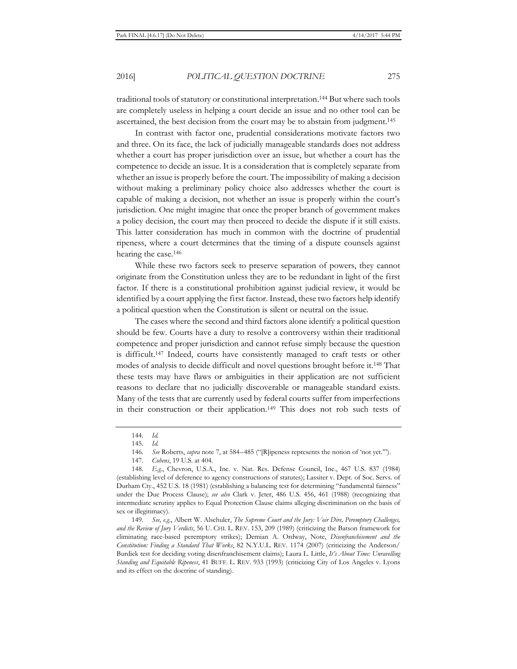traditional tools of statutory or constitutional interpretation.144 But where such tools are completely useless in helping a court decide an issue and no other tool can be ascertained, the best decision from the court may be to abstain from judgment.<sup>145</sup>

In contrast with factor one, prudential considerations motivate factors two and three. On its face, the lack of judicially manageable standards does not address whether a court has proper jurisdiction over an issue, but whether a court has the competence to decide an issue. It is a consideration that is completely separate from whether an issue is properly before the court. The impossibility of making a decision without making a preliminary policy choice also addresses whether the court is capable of making a decision, not whether an issue is properly within the court's jurisdiction. One might imagine that once the proper branch of government makes a policy decision, the court may then proceed to decide the dispute if it still exists. This latter consideration has much in common with the doctrine of prudential ripeness, where a court determines that the timing of a dispute counsels against hearing the case.146

While these two factors seek to preserve separation of powers, they cannot originate from the Constitution unless they are to be redundant in light of the first factor. If there is a constitutional prohibition against judicial review, it would be identified by a court applying the first factor. Instead, these two factors help identify a political question when the Constitution is silent or neutral on the issue.

The cases where the second and third factors alone identify a political question should be few. Courts have a duty to resolve a controversy within their traditional competence and proper jurisdiction and cannot refuse simply because the question is difficult.147 Indeed, courts have consistently managed to craft tests or other modes of analysis to decide difficult and novel questions brought before it.148 That these tests may have flaws or ambiguities in their application are not sufficient reasons to declare that no judicially discoverable or manageable standard exists. Many of the tests that are currently used by federal courts suffer from imperfections in their construction or their application.149 This does not rob such tests of

149*. See, e.g.*, Albert W. Alschuler, *The Supreme Court and the Jury: Voir Dire, Peremptory Challenges, and the Review of Jury Verdicts*, 56 U. CHI. L. REV. 153, 209 (1989) (criticizing the Batson framework for eliminating race-based peremptory strikes); Demian A. Ordway, Note, *Disenfranchisement and the Constitution: Finding a Standard That Works*, 82 N.Y.U.L. REV. 1174 (2007) (criticizing the Anderson/ Burdick test for deciding voting disenfranchisement claims); Laura L. Little, *It's About Time: Unravelling Standing and Equitable Ripeness*, 41 BUFF. L. REV. 933 (1993) (criticizing City of Los Angeles v. Lyons and its effect on the doctrine of standing).

<sup>144</sup>*. Id.*

<sup>145</sup>*. Id.*

<sup>146</sup>*. See* Roberts, *supra* note 7, at 584–485 ("[R]ipeness represents the notion of 'not yet.'").

<sup>147</sup>*. Cohens*, 19 U.S. at 404.

<sup>148</sup>*. E.g.*, Chevron, U.S.A., Inc. v. Nat. Res. Defense Council, Inc., 467 U.S. 837 (1984) (establishing level of deference to agency constructions of statutes); Lassiter v. Dept. of Soc. Servs. of Durham Cty., 452 U.S. 18 (1981) (establishing a balancing test for determining "fundamental fairness" under the Due Process Clause); *see also* Clark v. Jeter, 486 U.S. 456, 461 (1988) (recognizing that intermediate scrutiny applies to Equal Protection Clause claims alleging discrimination on the basis of sex or illegitimacy).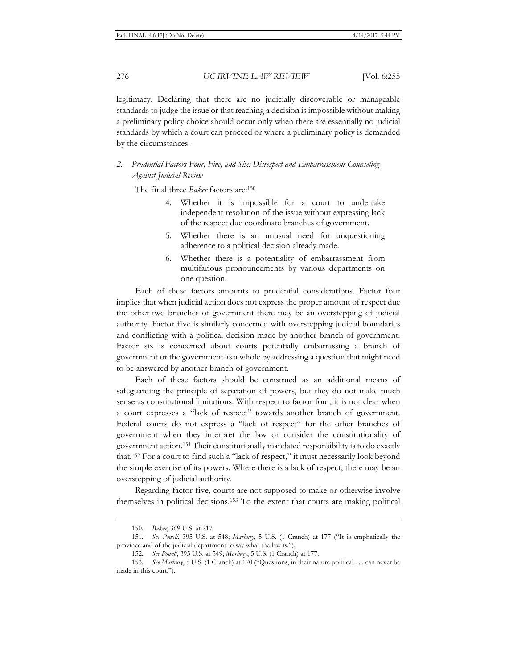legitimacy. Declaring that there are no judicially discoverable or manageable standards to judge the issue or that reaching a decision is impossible without making a preliminary policy choice should occur only when there are essentially no judicial standards by which a court can proceed or where a preliminary policy is demanded by the circumstances.

## *2. Prudential Factors Four, Five, and Six: Disrespect and Embarrassment Counseling Against Judicial Review*

The final three *Baker* factors are:150

- 4. Whether it is impossible for a court to undertake independent resolution of the issue without expressing lack of the respect due coordinate branches of government.
- 5. Whether there is an unusual need for unquestioning adherence to a political decision already made.
- 6. Whether there is a potentiality of embarrassment from multifarious pronouncements by various departments on one question.

Each of these factors amounts to prudential considerations. Factor four implies that when judicial action does not express the proper amount of respect due the other two branches of government there may be an overstepping of judicial authority. Factor five is similarly concerned with overstepping judicial boundaries and conflicting with a political decision made by another branch of government. Factor six is concerned about courts potentially embarrassing a branch of government or the government as a whole by addressing a question that might need to be answered by another branch of government.

Each of these factors should be construed as an additional means of safeguarding the principle of separation of powers, but they do not make much sense as constitutional limitations. With respect to factor four, it is not clear when a court expresses a "lack of respect" towards another branch of government. Federal courts do not express a "lack of respect" for the other branches of government when they interpret the law or consider the constitutionality of government action.151 Their constitutionally mandated responsibility is to do exactly that.152 For a court to find such a "lack of respect," it must necessarily look beyond the simple exercise of its powers. Where there is a lack of respect, there may be an overstepping of judicial authority.

Regarding factor five, courts are not supposed to make or otherwise involve themselves in political decisions.153 To the extent that courts are making political

<sup>150</sup>*. Baker*, 369 U.S. at 217.

<sup>151</sup>*. See Powell*, 395 U.S. at 548; *Marbury*, 5 U.S. (1 Cranch) at 177 ("It is emphatically the province and of the judicial department to say what the law is.").

<sup>152</sup>*. See Powell*, 395 U.S. at 549; *Marbury*, 5 U.S. (1 Cranch) at 177.

<sup>153</sup>*. See Marbury*, 5 U.S. (1 Cranch) at 170 ("Questions, in their nature political . . . can never be made in this court.").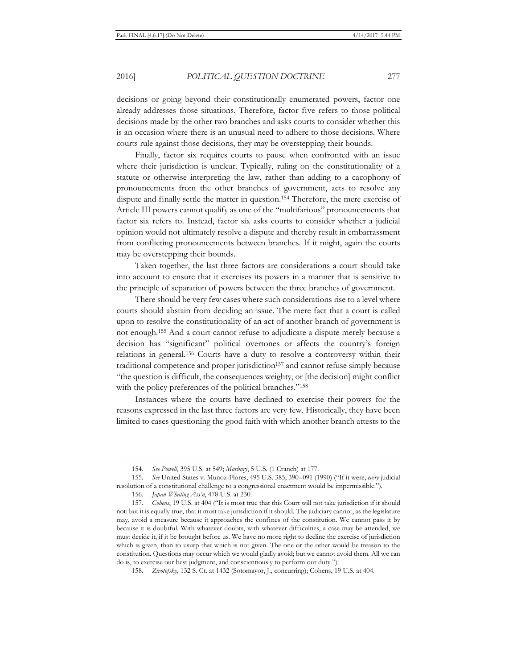decisions or going beyond their constitutionally enumerated powers, factor one already addresses those situations. Therefore, factor five refers to those political decisions made by the other two branches and asks courts to consider whether this is an occasion where there is an unusual need to adhere to those decisions. Where courts rule against those decisions, they may be overstepping their bounds.

Finally, factor six requires courts to pause when confronted with an issue where their jurisdiction is unclear. Typically, ruling on the constitutionality of a statute or otherwise interpreting the law, rather than adding to a cacophony of pronouncements from the other branches of government, acts to resolve any dispute and finally settle the matter in question.154 Therefore, the mere exercise of Article III powers cannot qualify as one of the "multifarious" pronouncements that factor six refers to. Instead, factor six asks courts to consider whether a judicial opinion would not ultimately resolve a dispute and thereby result in embarrassment from conflicting pronouncements between branches. If it might, again the courts may be overstepping their bounds.

Taken together, the last three factors are considerations a court should take into account to ensure that it exercises its powers in a manner that is sensitive to the principle of separation of powers between the three branches of government.

There should be very few cases where such considerations rise to a level where courts should abstain from deciding an issue. The mere fact that a court is called upon to resolve the constitutionality of an act of another branch of government is not enough.155 And a court cannot refuse to adjudicate a dispute merely because a decision has "significant" political overtones or affects the country's foreign relations in general.156 Courts have a duty to resolve a controversy within their traditional competence and proper jurisdiction<sup>157</sup> and cannot refuse simply because "the question is difficult, the consequences weighty, or [the decision] might conflict with the policy preferences of the political branches."<sup>158</sup>

Instances where the courts have declined to exercise their powers for the reasons expressed in the last three factors are very few. Historically, they have been limited to cases questioning the good faith with which another branch attests to the

<sup>154</sup>*. See Powell*, 395 U.S. at 549; *Marbury*, 5 U.S. (1 Cranch) at 177.

<sup>155</sup>*. See* United States v. Munoz-Flores, 495 U.S. 385, 390–091 (1990) ("If it were, *every* judicial resolution of a constitutional challenge to a congressional enactment would be impermissible.").

<sup>156</sup>*. Japan Whaling Ass'n*, 478 U.S. at 230.

<sup>157</sup>*. Cohens*, 19 U.S. at 404 ("It is most true that this Court will not take jurisdiction if it should not: but it is equally true, that it must take jurisdiction if it should. The judiciary cannot, as the legislature may, avoid a measure because it approaches the confines of the constitution. We cannot pass it by because it is doubtful. With whatever doubts, with whatever difficulties, a case may be attended, we must decide it, if it be brought before us. We have no more right to decline the exercise of jurisdiction which is given, than to usurp that which is not given. The one or the other would be treason to the constitution. Questions may occur which we would gladly avoid; but we cannot avoid them. All we can do is, to exercise our best judgment, and conscientiously to perform our duty.").

<sup>158</sup>*. Zivotofsky*, 132 S. Ct. at 1432 (Sotomayor, J., concurring); Cohens, 19 U.S. at 404.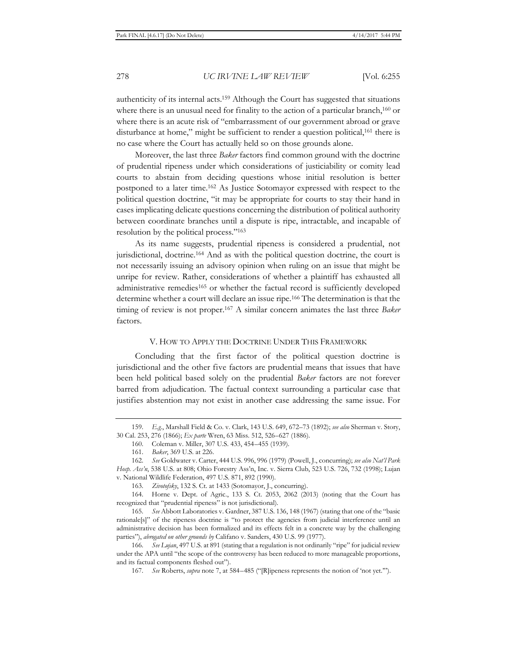authenticity of its internal acts.159 Although the Court has suggested that situations where there is an unusual need for finality to the action of a particular branch,<sup>160</sup> or where there is an acute risk of "embarrassment of our government abroad or grave disturbance at home," might be sufficient to render a question political,<sup>161</sup> there is no case where the Court has actually held so on those grounds alone.

Moreover, the last three *Baker* factors find common ground with the doctrine of prudential ripeness under which considerations of justiciability or comity lead courts to abstain from deciding questions whose initial resolution is better postponed to a later time.162 As Justice Sotomayor expressed with respect to the political question doctrine, "it may be appropriate for courts to stay their hand in cases implicating delicate questions concerning the distribution of political authority between coordinate branches until a dispute is ripe, intractable, and incapable of resolution by the political process."163

As its name suggests, prudential ripeness is considered a prudential, not jurisdictional, doctrine.<sup>164</sup> And as with the political question doctrine, the court is not necessarily issuing an advisory opinion when ruling on an issue that might be unripe for review. Rather, considerations of whether a plaintiff has exhausted all administrative remedies<sup>165</sup> or whether the factual record is sufficiently developed determine whether a court will declare an issue ripe.166 The determination is that the timing of review is not proper.167 A similar concern animates the last three *Baker* factors.

## V. HOW TO APPLY THE DOCTRINE UNDER THIS FRAMEWORK

Concluding that the first factor of the political question doctrine is jurisdictional and the other five factors are prudential means that issues that have been held political based solely on the prudential *Baker* factors are not forever barred from adjudication. The factual context surrounding a particular case that justifies abstention may not exist in another case addressing the same issue. For

165*. See* Abbott Laboratories v. Gardner, 387 U.S. 136, 148 (1967) (stating that one of the "basic rationale[s]" of the ripeness doctrine is "to protect the agencies from judicial interference until an administrative decision has been formalized and its effects felt in a concrete way by the challenging parties"), *abrogated on other grounds by* Califano v. Sanders, 430 U.S. 99 (1977).

167*. See* Roberts, *supra* note 7, at 584–485 ("[R]ipeness represents the notion of 'not yet.'").

<sup>159</sup>*. E.g.*, Marshall Field & Co. v. Clark, 143 U.S. 649, 672–73 (1892); *see also* Sherman v. Story, 30 Cal. 253, 276 (1866); *Ex parte* Wren, 63 Miss. 512, 526–627 (1886).

<sup>160.</sup> Coleman v. Miller, 307 U.S. 433, 454–455 (1939).

<sup>161</sup>*. Baker*, 369 U.S. at 226.

<sup>162</sup>*. See* Goldwater v. Carter, 444 U.S. 996, 996 (1979) (Powell, J., concurring); *see also Nat'l Park Hosp. Ass'n*, 538 U.S. at 808; Ohio Forestry Ass'n, Inc. v. Sierra Club, 523 U.S. 726, 732 (1998); Lujan v. National Wildlife Federation, 497 U.S. 871, 892 (1990).

<sup>163</sup>*. Zivotofsky*, 132 S. Ct. at 1433 (Sotomayor, J., concurring).

<sup>164.</sup> Horne v. Dept. of Agric., 133 S. Ct. 2053, 2062 (2013) (noting that the Court has recognized that "prudential ripeness" is not jurisdictional).

<sup>166</sup>*. See Lujan*, 497 U.S. at 891 (stating that a regulation is not ordinarily "ripe" for judicial review under the APA until "the scope of the controversy has been reduced to more manageable proportions, and its factual components fleshed out").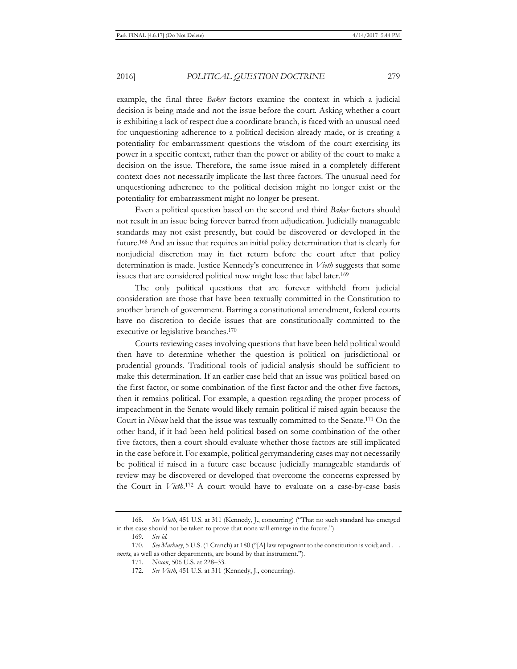example, the final three *Baker* factors examine the context in which a judicial decision is being made and not the issue before the court. Asking whether a court is exhibiting a lack of respect due a coordinate branch, is faced with an unusual need for unquestioning adherence to a political decision already made, or is creating a potentiality for embarrassment questions the wisdom of the court exercising its power in a specific context, rather than the power or ability of the court to make a decision on the issue. Therefore, the same issue raised in a completely different context does not necessarily implicate the last three factors. The unusual need for unquestioning adherence to the political decision might no longer exist or the potentiality for embarrassment might no longer be present.

Even a political question based on the second and third *Baker* factors should not result in an issue being forever barred from adjudication. Judicially manageable standards may not exist presently, but could be discovered or developed in the future.168 And an issue that requires an initial policy determination that is clearly for nonjudicial discretion may in fact return before the court after that policy determination is made. Justice Kennedy's concurrence in *Vieth* suggests that some issues that are considered political now might lose that label later.169

The only political questions that are forever withheld from judicial consideration are those that have been textually committed in the Constitution to another branch of government. Barring a constitutional amendment, federal courts have no discretion to decide issues that are constitutionally committed to the executive or legislative branches.170

Courts reviewing cases involving questions that have been held political would then have to determine whether the question is political on jurisdictional or prudential grounds. Traditional tools of judicial analysis should be sufficient to make this determination. If an earlier case held that an issue was political based on the first factor, or some combination of the first factor and the other five factors, then it remains political. For example, a question regarding the proper process of impeachment in the Senate would likely remain political if raised again because the Court in *Nixon* held that the issue was textually committed to the Senate.171 On the other hand, if it had been held political based on some combination of the other five factors, then a court should evaluate whether those factors are still implicated in the case before it. For example, political gerrymandering cases may not necessarily be political if raised in a future case because judicially manageable standards of review may be discovered or developed that overcome the concerns expressed by the Court in *Vieth*. 172 A court would have to evaluate on a case-by-case basis

<sup>168</sup>*. See Vieth*, 451 U.S. at 311 (Kennedy, J., concurring) ("That no such standard has emerged in this case should not be taken to prove that none will emerge in the future.").

<sup>169</sup>*. See id.*

<sup>170</sup>*. See Marbury*, 5 U.S. (1 Cranch) at 180 ("[A] law repugnant to the constitution is void; and . . . *courts*, as well as other departments, are bound by that instrument.").

<sup>171</sup>*. Nixon*, 506 U.S. at 228–33.

<sup>172</sup>*. See Vieth*, 451 U.S. at 311 (Kennedy, J., concurring).